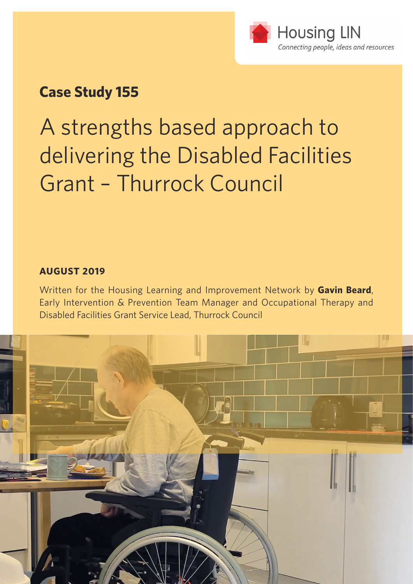

### **Case Study 155**

A strengths based approach to delivering the Disabled Facilities Grant – Thurrock Council

#### **AUGUST 2019**

Written for the Housing Learning and Improvement Network by **Gavin Beard**, Early Intervention & Prevention Team Manager and Occupational Therapy and Disabled Facilities Grant Service Lead, Thurrock Council

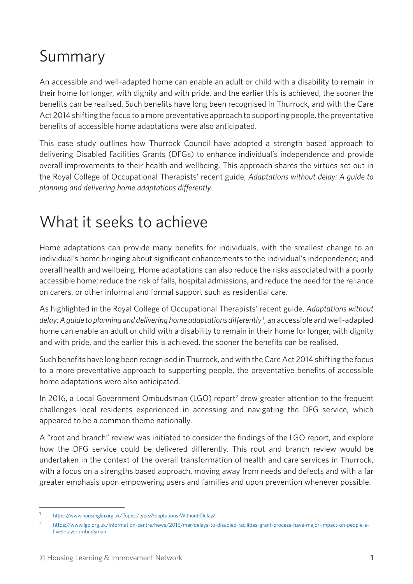## Summary

An accessible and well-adapted home can enable an adult or child with a disability to remain in their home for longer, with dignity and with pride, and the earlier this is achieved, the sooner the benefits can be realised. Such benefits have long been recognised in Thurrock, and with the Care Act 2014 shifting the focus to a more preventative approach to supporting people, the preventative benefits of accessible home adaptations were also anticipated.

This case study outlines how Thurrock Council have adopted a strength based approach to delivering Disabled Facilities Grants (DFGs) to enhance individual's independence and provide overall improvements to their health and wellbeing. This approach shares the virtues set out in the Royal College of Occupational Therapists' recent guide, *Adaptations without delay: A guide to planning and delivering home adaptations differently*.

### What it seeks to achieve

Home adaptations can provide many benefits for individuals, with the smallest change to an individual's home bringing about significant enhancements to the individual's independence; and overall health and wellbeing. Home adaptations can also reduce the risks associated with a poorly accessible home; reduce the risk of falls, hospital admissions, and reduce the need for the reliance on carers, or other informal and formal support such as residential care.

As highlighted in the Royal College of Occupational Therapists' recent guide, *Adaptations without delay: A guide to planning and delivering home adaptations differently*<sup>1</sup> , an accessible and well-adapted home can enable an adult or child with a disability to remain in their home for longer, with dignity and with pride, and the earlier this is achieved, the sooner the benefits can be realised.

Such benefits have long been recognised in Thurrock, and with the Care Act 2014 shifting the focus to a more preventative approach to supporting people, the preventative benefits of accessible home adaptations were also anticipated.

In 2016, a Local Government Ombudsman (LGO) report<sup>2</sup> drew greater attention to the frequent challenges local residents experienced in accessing and navigating the DFG service, which appeared to be a common theme nationally.

A "root and branch" review was initiated to consider the findings of the LGO report, and explore how the DFG service could be delivered differently. This root and branch review would be undertaken in the context of the overall transformation of health and care services in Thurrock, with a focus on a strengths based approach, moving away from needs and defects and with a far greater emphasis upon empowering users and families and upon prevention whenever possible.

<sup>1</sup> <https://www.housinglin.org.uk/Topics/type/Adaptations-Without-Delay/>

<sup>2</sup> [https://www.lgo.org.uk/information-centre/news/2016/mar/delays-to-disabled-facilities-grant-process-have-major-impact-on-people-s](https://www.lgo.org.uk/information-centre/news/2016/mar/delays-to-disabled-facilities-grant-process-have-major-impact-on-people-s-lives-says-ombudsman)[lives-says-ombudsman](https://www.lgo.org.uk/information-centre/news/2016/mar/delays-to-disabled-facilities-grant-process-have-major-impact-on-people-s-lives-says-ombudsman)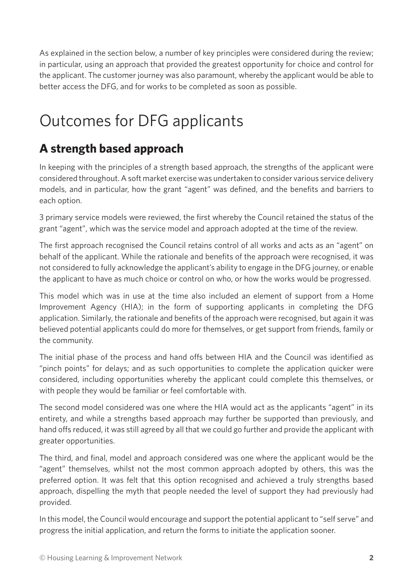As explained in the section below, a number of key principles were considered during the review; in particular, using an approach that provided the greatest opportunity for choice and control for the applicant. The customer journey was also paramount, whereby the applicant would be able to better access the DFG, and for works to be completed as soon as possible.

# Outcomes for DFG applicants

### **A strength based approach**

In keeping with the principles of a strength based approach, the strengths of the applicant were considered throughout. A soft market exercise was undertaken to consider various service delivery models, and in particular, how the grant "agent" was defined, and the benefits and barriers to each option.

3 primary service models were reviewed, the first whereby the Council retained the status of the grant "agent", which was the service model and approach adopted at the time of the review.

The first approach recognised the Council retains control of all works and acts as an "agent" on behalf of the applicant. While the rationale and benefits of the approach were recognised, it was not considered to fully acknowledge the applicant's ability to engage in the DFG journey, or enable the applicant to have as much choice or control on who, or how the works would be progressed.

This model which was in use at the time also included an element of support from a Home Improvement Agency (HIA); in the form of supporting applicants in completing the DFG application. Similarly, the rationale and benefits of the approach were recognised, but again it was believed potential applicants could do more for themselves, or get support from friends, family or the community.

The initial phase of the process and hand offs between HIA and the Council was identified as "pinch points" for delays; and as such opportunities to complete the application quicker were considered, including opportunities whereby the applicant could complete this themselves, or with people they would be familiar or feel comfortable with.

The second model considered was one where the HIA would act as the applicants "agent" in its entirety, and while a strengths based approach may further be supported than previously, and hand offs reduced, it was still agreed by all that we could go further and provide the applicant with greater opportunities.

The third, and final, model and approach considered was one where the applicant would be the "agent" themselves, whilst not the most common approach adopted by others, this was the preferred option. It was felt that this option recognised and achieved a truly strengths based approach, dispelling the myth that people needed the level of support they had previously had provided.

In this model, the Council would encourage and support the potential applicant to "self serve" and progress the initial application, and return the forms to initiate the application sooner.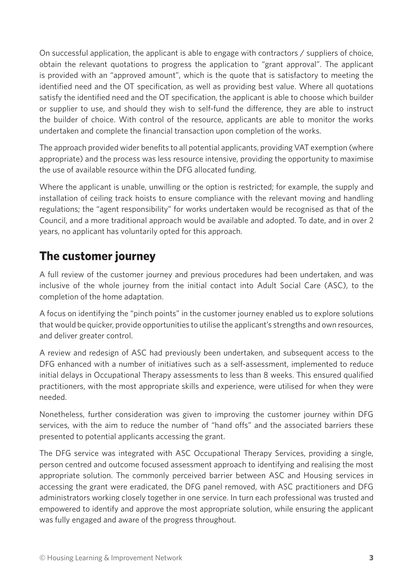On successful application, the applicant is able to engage with contractors / suppliers of choice, obtain the relevant quotations to progress the application to "grant approval". The applicant is provided with an "approved amount", which is the quote that is satisfactory to meeting the identified need and the OT specification, as well as providing best value. Where all quotations satisfy the identified need and the OT specification, the applicant is able to choose which builder or supplier to use, and should they wish to self-fund the difference, they are able to instruct the builder of choice. With control of the resource, applicants are able to monitor the works undertaken and complete the financial transaction upon completion of the works.

The approach provided wider benefits to all potential applicants, providing VAT exemption (where appropriate) and the process was less resource intensive, providing the opportunity to maximise the use of available resource within the DFG allocated funding.

Where the applicant is unable, unwilling or the option is restricted; for example, the supply and installation of ceiling track hoists to ensure compliance with the relevant moving and handling regulations; the "agent responsibility" for works undertaken would be recognised as that of the Council, and a more traditional approach would be available and adopted. To date, and in over 2 years, no applicant has voluntarily opted for this approach.

### **The customer journey**

A full review of the customer journey and previous procedures had been undertaken, and was inclusive of the whole journey from the initial contact into Adult Social Care (ASC), to the completion of the home adaptation.

A focus on identifying the "pinch points" in the customer journey enabled us to explore solutions that would be quicker, provide opportunities to utilise the applicant's strengths and own resources, and deliver greater control.

A review and redesign of ASC had previously been undertaken, and subsequent access to the DFG enhanced with a number of initiatives such as a self-assessment, implemented to reduce initial delays in Occupational Therapy assessments to less than 8 weeks. This ensured qualified practitioners, with the most appropriate skills and experience, were utilised for when they were needed.

Nonetheless, further consideration was given to improving the customer journey within DFG services, with the aim to reduce the number of "hand offs" and the associated barriers these presented to potential applicants accessing the grant.

The DFG service was integrated with ASC Occupational Therapy Services, providing a single, person centred and outcome focused assessment approach to identifying and realising the most appropriate solution. The commonly perceived barrier between ASC and Housing services in accessing the grant were eradicated, the DFG panel removed, with ASC practitioners and DFG administrators working closely together in one service. In turn each professional was trusted and empowered to identify and approve the most appropriate solution, while ensuring the applicant was fully engaged and aware of the progress throughout.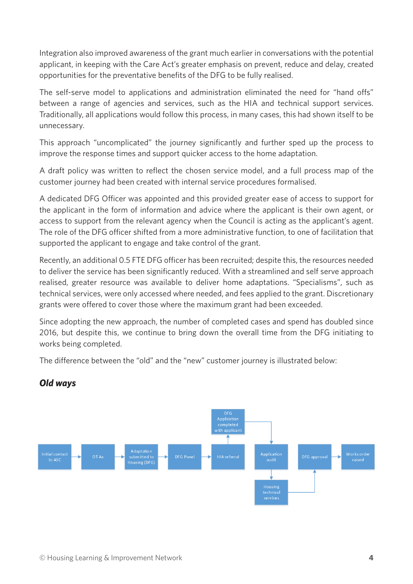Integration also improved awareness of the grant much earlier in conversations with the potential applicant, in keeping with the Care Act's greater emphasis on prevent, reduce and delay, created opportunities for the preventative benefits of the DFG to be fully realised.

The self-serve model to applications and administration eliminated the need for "hand offs" between a range of agencies and services, such as the HIA and technical support services. Traditionally, all applications would follow this process, in many cases, this had shown itself to be unnecessary.

This approach "uncomplicated" the journey significantly and further sped up the process to improve the response times and support quicker access to the home adaptation.

A draft policy was written to reflect the chosen service model, and a full process map of the customer journey had been created with internal service procedures formalised.

A dedicated DFG Officer was appointed and this provided greater ease of access to support for the applicant in the form of information and advice where the applicant is their own agent, or access to support from the relevant agency when the Council is acting as the applicant's agent. The role of the DFG officer shifted from a more administrative function, to one of facilitation that supported the applicant to engage and take control of the grant.

Recently, an additional 0.5 FTE DFG officer has been recruited; despite this, the resources needed to deliver the service has been significantly reduced. With a streamlined and self serve approach realised, greater resource was available to deliver home adaptations. "Specialisms", such as technical services, were only accessed where needed, and fees applied to the grant. Discretionary grants were offered to cover those where the maximum grant had been exceeded.

Since adopting the new approach, the number of completed cases and spend has doubled since 2016, but despite this, we continue to bring down the overall time from the DFG initiating to works being completed.

The difference between the "old" and the "new" customer journey is illustrated below:



#### *Old ways*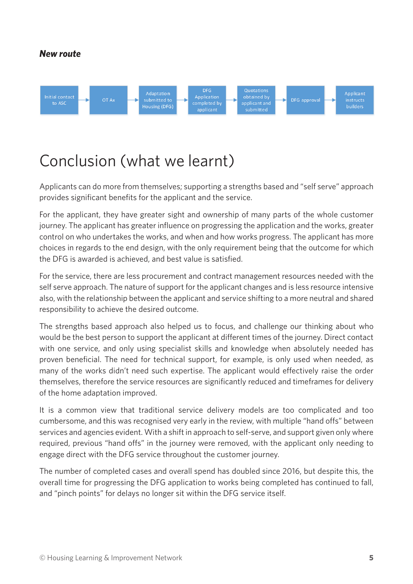#### *New route*



### Conclusion (what we learnt)

Applicants can do more from themselves; supporting a strengths based and "self serve" approach provides significant benefits for the applicant and the service.

For the applicant, they have greater sight and ownership of many parts of the whole customer journey. The applicant has greater influence on progressing the application and the works, greater control on who undertakes the works, and when and how works progress. The applicant has more choices in regards to the end design, with the only requirement being that the outcome for which the DFG is awarded is achieved, and best value is satisfied.

For the service, there are less procurement and contract management resources needed with the self serve approach. The nature of support for the applicant changes and is less resource intensive also, with the relationship between the applicant and service shifting to a more neutral and shared responsibility to achieve the desired outcome.

The strengths based approach also helped us to focus, and challenge our thinking about who would be the best person to support the applicant at different times of the journey. Direct contact with one service, and only using specialist skills and knowledge when absolutely needed has proven beneficial. The need for technical support, for example, is only used when needed, as many of the works didn't need such expertise. The applicant would effectively raise the order themselves, therefore the service resources are significantly reduced and timeframes for delivery of the home adaptation improved.

It is a common view that traditional service delivery models are too complicated and too cumbersome, and this was recognised very early in the review, with multiple "hand offs" between services and agencies evident. With a shift in approach to self-serve, and support given only where required, previous "hand offs" in the journey were removed, with the applicant only needing to engage direct with the DFG service throughout the customer journey.

The number of completed cases and overall spend has doubled since 2016, but despite this, the overall time for progressing the DFG application to works being completed has continued to fall, and "pinch points" for delays no longer sit within the DFG service itself.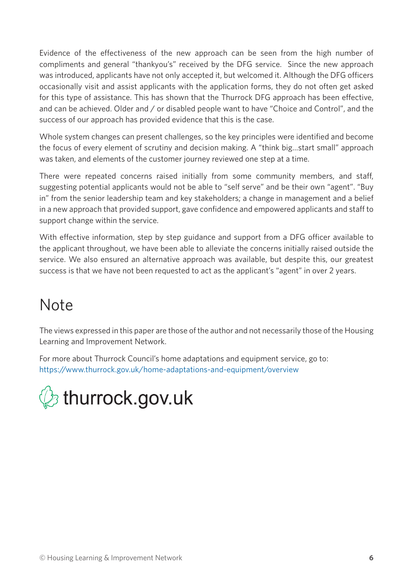Evidence of the effectiveness of the new approach can be seen from the high number of compliments and general "thankyou's" received by the DFG service. Since the new approach was introduced, applicants have not only accepted it, but welcomed it. Although the DFG officers occasionally visit and assist applicants with the application forms, they do not often get asked for this type of assistance. This has shown that the Thurrock DFG approach has been effective, and can be achieved. Older and / or disabled people want to have "Choice and Control", and the success of our approach has provided evidence that this is the case.

Whole system changes can present challenges, so the key principles were identified and become the focus of every element of scrutiny and decision making. A "think big…start small" approach was taken, and elements of the customer journey reviewed one step at a time.

There were repeated concerns raised initially from some community members, and staff, suggesting potential applicants would not be able to "self serve" and be their own "agent". "Buy in" from the senior leadership team and key stakeholders; a change in management and a belief in a new approach that provided support, gave confidence and empowered applicants and staff to support change within the service.

With effective information, step by step guidance and support from a DFG officer available to the applicant throughout, we have been able to alleviate the concerns initially raised outside the service. We also ensured an alternative approach was available, but despite this, our greatest success is that we have not been requested to act as the applicant's "agent" in over 2 years.

## Note

The views expressed in this paper are those of the author and not necessarily those of the Housing Learning and Improvement Network.

For more about Thurrock Council's home adaptations and equipment service, go to: <https://www.thurrock.gov.uk/home-adaptations-and-equipment/overview>